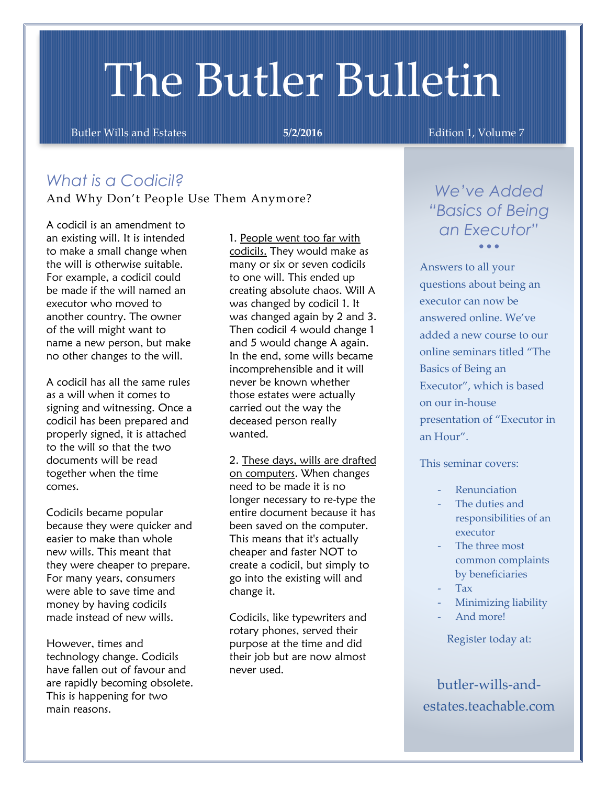# The Butler Bulletin

Butler Wills and Estates **5/2/2016 Edition 1, Volume 7** 

# *What is a Codicil?* And Why Don't People Use Them Anymore?

A codicil is an amendment to an existing will. It is intended to make a small change when the will is otherwise suitable. For example, a codicil could be made if the will named an executor who moved to another country. The owner of the will might want to name a new person, but make no other changes to the will.

A codicil has all the same rules as a will when it comes to signing and witnessing. Once a codicil has been prepared and properly signed, it is attached to the will so that the two documents will be read together when the time comes.

Codicils became popular because they were quicker and easier to make than whole new wills. This meant that they were cheaper to prepare. For many years, consumers were able to save time and money by having codicils made instead of new wills.

However, times and technology change. Codicils have fallen out of favour and are rapidly becoming obsolete. This is happening for two main reasons.

1. People went too far with codicils. They would make as many or six or seven codicils to one will. This ended up creating absolute chaos. Will A was changed by codicil 1. It was changed again by 2 and 3. Then codicil 4 would change 1 and 5 would change A again. In the end, some wills became incomprehensible and it will never be known whether those estates were actually carried out the way the deceased person really wanted.

2. These days, wills are drafted on computers. When changes need to be made it is no longer necessary to re-type the entire document because it has been saved on the computer. This means that it's actually cheaper and faster NOT to create a codicil, but simply to go into the existing will and change it.

Codicils, like typewriters and rotary phones, served their purpose at the time and did their job but are now almost never used.

*We've Added "Basics of Being an Executor"*  $\sim$   $\sim$   $\sim$ 

Answers to all your questions about being an executor can now be answered online. We've added a new course to our online seminars titled "The Basics of Being an Executor", which is based on our in-house presentation of "Executor in an Hour".

This seminar covers:

- Renunciation
- The duties and responsibilities of an executor
- The three most common complaints by beneficiaries
- Tax
- Minimizing liability
- And more!

Register today at:

butler-wills-andestates.teachable.com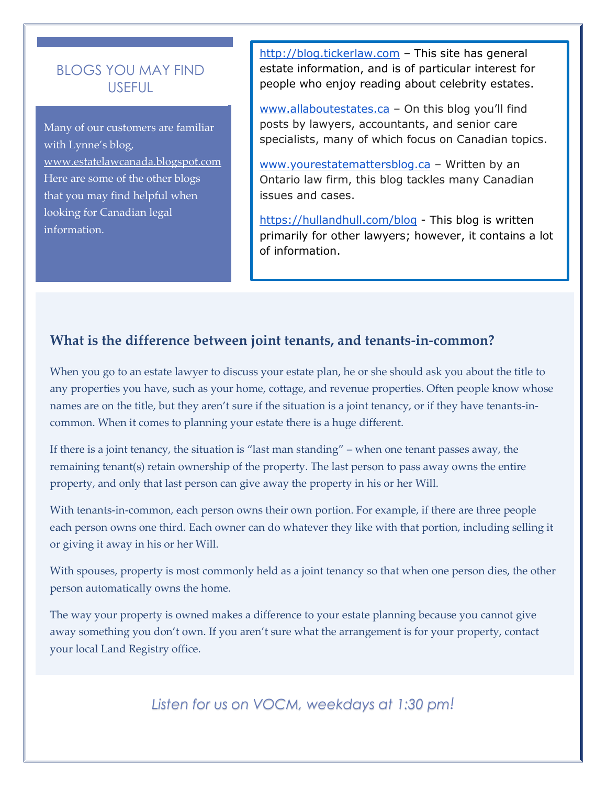## BLOGS YOU MAY FIND USEFUL

Many of our customers are familiar with Lynne's blog, [www.estatelawcanada.blogspot.com](http://www.estatelawcanada.blogspot.com/) Here are some of the other blogs that you may find helpful when looking for Canadian legal information.

[http://blog.tickerlaw.com](http://blog.tickerlaw.com/) - This site has general estate information, and is of particular interest for people who enjoy reading about celebrity estates.

[www.allaboutestates.ca](http://www.allaboutestates.ca/) - On this blog you'll find posts by lawyers, accountants, and senior care specialists, many of which focus on Canadian topics.

[www.yourestatemattersblog.ca](http://www.yourestatemattersblog.ca/) – Written by an Ontario law firm, this blog tackles many Canadian issues and cases.

<https://hullandhull.com/blog> - This blog is written primarily for other lawyers; however, it contains a lot of information.

## **What is the difference between joint tenants, and tenants-in-common?**

When you go to an estate lawyer to discuss your estate plan, he or she should ask you about the title to any properties you have, such as your home, cottage, and revenue properties. Often people know whose names are on the title, but they aren't sure if the situation is a joint tenancy, or if they have tenants-incommon. When it comes to planning your estate there is a huge different.

If there is a joint tenancy, the situation is "last man standing" – when one tenant passes away, the remaining tenant(s) retain ownership of the property. The last person to pass away owns the entire property, and only that last person can give away the property in his or her Will.

With tenants-in-common, each person owns their own portion. For example, if there are three people each person owns one third. Each owner can do whatever they like with that portion, including selling it or giving it away in his or her Will.

With spouses, property is most commonly held as a joint tenancy so that when one person dies, the other person automatically owns the home.

The way your property is owned makes a difference to your estate planning because you cannot give away something you don't own. If you aren't sure what the arrangement is for your property, contact your local Land Registry office.

*Listen for us on VOCM, weekdays at 1:30 pm!*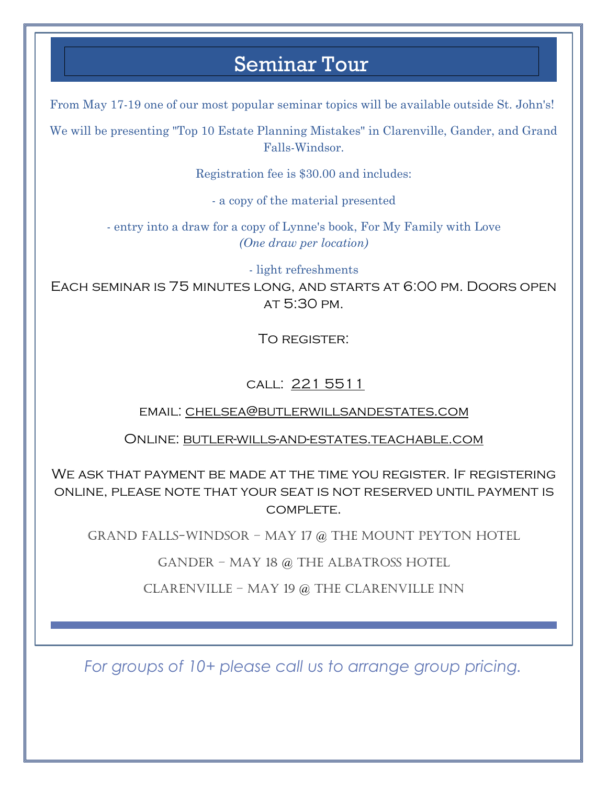# Seminar Tour

From May 17-19 one of our most popular seminar topics will be available outside St. John's!

We will be presenting "Top 10 Estate Planning Mistakes" in Clarenville, Gander, and Grand Falls-Windsor.

Registration fee is \$30.00 and includes:

- a copy of the material presented

- entry into a draw for a copy of Lynne's book, For My Family with Love *(One draw per location)*

- light refreshments

Each seminar is 75 minutes long, and starts at 6:00 pm. Doors open at 5:30 pm.

To register:

## call: 221 5511

## email: [chelsea@butlerwillsandestates.com](mailto:chelsea@butlerwillsandestates.com)

## Online: butler-wills-and-estates.teachable.com

ONLINE, PLEASE NOTE THAT YOUR SEAT IS NOT RESERVED UNTIL PAYMENT IS We ask that payment be made at the time you register. If registering COMPI FTF.

GRAND FALLS-WINDSOR - MAY 17 @ THE MOUNT PEYTON HOTEL

GANDER – MAY 18 @ THE ALBATROSS HOTEL

CLARENVILLE – MAY 19  $@$  THE CLARENVILLE INN

*For groups of 10+ please call us to arrange group pricing.*